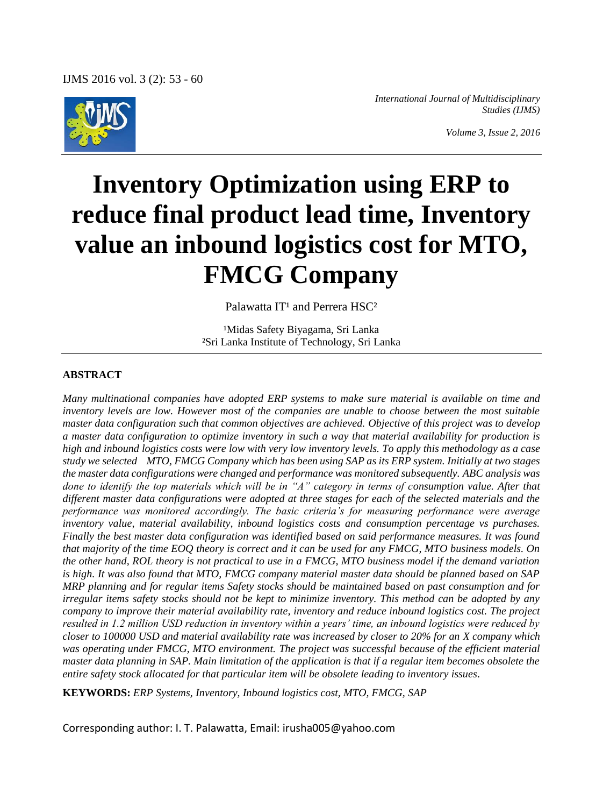

*International Journal of Multidisciplinary Studies (IJMS)*

*Volume 3, Issue 2, 2016*

# **Inventory Optimization using ERP to reduce final product lead time, Inventory value an inbound logistics cost for MTO, FMCG Company**

Palawatta IT<sup>1</sup> and Perrera HSC<sup>2</sup>

<sup>1</sup>Midas Safety Biyagama, Sri Lanka ²Sri Lanka Institute of Technology, Sri Lanka

#### **ABSTRACT**

*Many multinational companies have adopted ERP systems to make sure material is available on time and inventory levels are low. However most of the companies are unable to choose between the most suitable master data configuration such that common objectives are achieved. Objective of this project was to develop a master data configuration to optimize inventory in such a way that material availability for production is high and inbound logistics costs were low with very low inventory levels. To apply this methodology as a case study we selected MTO, FMCG Company which has been using SAP as its ERP system. Initially at two stages the master data configurations were changed and performance was monitored subsequently. ABC analysis was done to identify the top materials which will be in "A" category in terms of consumption value. After that different master data configurations were adopted at three stages for each of the selected materials and the performance was monitored accordingly. The basic criteria's for measuring performance were average inventory value, material availability, inbound logistics costs and consumption percentage vs purchases. Finally the best master data configuration was identified based on said performance measures. It was found that majority of the time EOQ theory is correct and it can be used for any FMCG, MTO business models. On the other hand, ROL theory is not practical to use in a FMCG, MTO business model if the demand variation is high. It was also found that MTO, FMCG company material master data should be planned based on SAP MRP planning and for regular items Safety stocks should be maintained based on past consumption and for irregular items safety stocks should not be kept to minimize inventory. This method can be adopted by any company to improve their material availability rate, inventory and reduce inbound logistics cost. The project resulted in 1.2 million USD reduction in inventory within a years' time, an inbound logistics were reduced by closer to 100000 USD and material availability rate was increased by closer to 20% for an X company which was operating under FMCG, MTO environment. The project was successful because of the efficient material master data planning in SAP. Main limitation of the application is that if a regular item becomes obsolete the entire safety stock allocated for that particular item will be obsolete leading to inventory issues.*

**KEYWORDS:** *ERP Systems, Inventory, Inbound logistics cost, MTO, FMCG, SAP*

Corresponding author: I. T. Palawatta, Email: irusha005@yahoo.com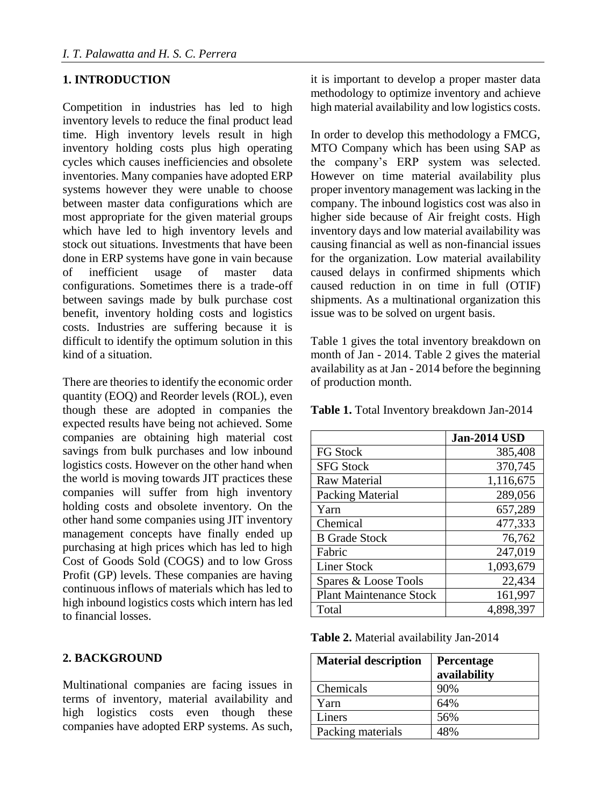#### **1. INTRODUCTION**

Competition in industries has led to high inventory levels to reduce the final product lead time. High inventory levels result in high inventory holding costs plus high operating cycles which causes inefficiencies and obsolete inventories. Many companies have adopted ERP systems however they were unable to choose between master data configurations which are most appropriate for the given material groups which have led to high inventory levels and stock out situations. Investments that have been done in ERP systems have gone in vain because of inefficient usage of master data configurations. Sometimes there is a trade-off between savings made by bulk purchase cost benefit, inventory holding costs and logistics costs. Industries are suffering because it is difficult to identify the optimum solution in this kind of a situation.

There are theories to identify the economic order quantity (EOQ) and Reorder levels (ROL), even though these are adopted in companies the expected results have being not achieved. Some companies are obtaining high material cost savings from bulk purchases and low inbound logistics costs. However on the other hand when the world is moving towards JIT practices these companies will suffer from high inventory holding costs and obsolete inventory. On the other hand some companies using JIT inventory management concepts have finally ended up purchasing at high prices which has led to high Cost of Goods Sold (COGS) and to low Gross Profit (GP) levels. These companies are having continuous inflows of materials which has led to high inbound logistics costs which intern has led to financial losses.

## **2. BACKGROUND**

Multinational companies are facing issues in terms of inventory, material availability and high logistics costs even though these companies have adopted ERP systems. As such,

it is important to develop a proper master data methodology to optimize inventory and achieve high material availability and low logistics costs.

In order to develop this methodology a FMCG, MTO Company which has been using SAP as the company's ERP system was selected. However on time material availability plus proper inventory management was lacking in the company. The inbound logistics cost was also in higher side because of Air freight costs. High inventory days and low material availability was causing financial as well as non-financial issues for the organization. Low material availability caused delays in confirmed shipments which caused reduction in on time in full (OTIF) shipments. As a multinational organization this issue was to be solved on urgent basis.

Table 1 gives the total inventory breakdown on month of Jan - 2014. Table 2 gives the material availability as at Jan - 2014 before the beginning of production month.

**Table 1.** Total Inventory breakdown Jan-2014

|                                | <b>Jan-2014 USD</b> |
|--------------------------------|---------------------|
| <b>FG Stock</b>                | 385,408             |
| <b>SFG Stock</b>               | 370,745             |
| Raw Material                   | 1,116,675           |
| Packing Material               | 289,056             |
| Yarn                           | 657,289             |
| Chemical                       | 477,333             |
| <b>B</b> Grade Stock           | 76,762              |
| Fabric                         | 247,019             |
| <b>Liner Stock</b>             | 1,093,679           |
| Spares & Loose Tools           | 22,434              |
| <b>Plant Maintenance Stock</b> | 161,997             |
| Total                          | 4,898,397           |

**Table 2.** Material availability Jan-2014

| <b>Material description</b> | Percentage<br>availability |
|-----------------------------|----------------------------|
| Chemicals                   | 90%                        |
| Yarn                        | 64%                        |
| Liners                      | 56%                        |
| Packing materials           | 48%                        |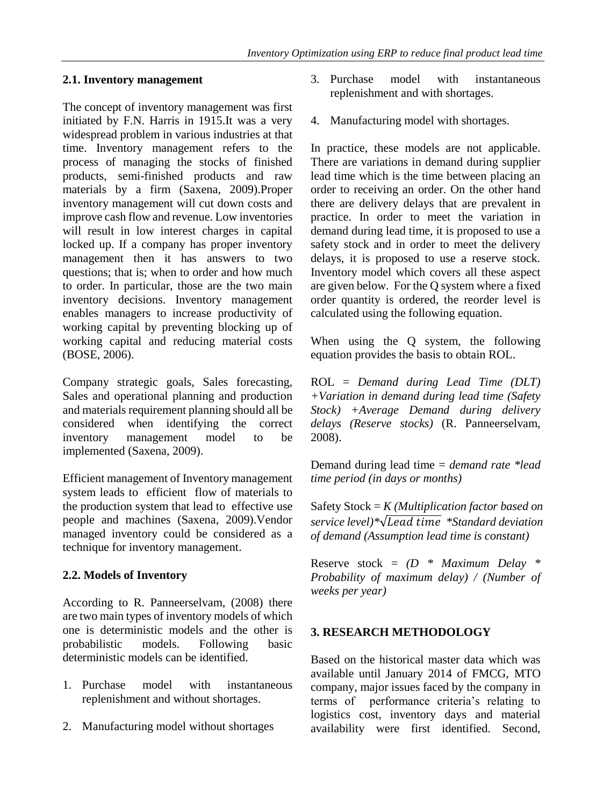#### **2.1. Inventory management**

The concept of inventory management was first initiated by F.N. Harris in 1915.It was a very widespread problem in various industries at that time. Inventory management refers to the process of managing the stocks of finished products, semi-finished products and raw materials by a firm (Saxena, 2009).Proper inventory management will cut down costs and improve cash flow and revenue. Low inventories will result in low interest charges in capital locked up. If a company has proper inventory management then it has answers to two questions; that is; when to order and how much to order. In particular, those are the two main inventory decisions. Inventory management enables managers to increase productivity of working capital by preventing blocking up of working capital and reducing material costs (BOSE, 2006).

Company strategic goals, Sales forecasting, Sales and operational planning and production and materials requirement planning should all be considered when identifying the correct inventory management model to be implemented (Saxena, 2009).

Efficient management of Inventory management system leads to efficient flow of materials to the production system that lead to effective use people and machines (Saxena, 2009).Vendor managed inventory could be considered as a technique for inventory management.

## **2.2. Models of Inventory**

According to R. Panneerselvam, (2008) there are two main types of inventory models of which one is deterministic models and the other is probabilistic models. Following basic deterministic models can be identified.

- 1. Purchase model with instantaneous replenishment and without shortages.
- 2. Manufacturing model without shortages
- 3. Purchase model with instantaneous replenishment and with shortages.
- 4. Manufacturing model with shortages.

In practice, these models are not applicable. There are variations in demand during supplier lead time which is the time between placing an order to receiving an order. On the other hand there are delivery delays that are prevalent in practice. In order to meet the variation in demand during lead time, it is proposed to use a safety stock and in order to meet the delivery delays, it is proposed to use a reserve stock. Inventory model which covers all these aspect are given below. For the Q system where a fixed order quantity is ordered, the reorder level is calculated using the following equation.

When using the Q system, the following equation provides the basis to obtain ROL.

ROL = *Demand during Lead Time (DLT) +Variation in demand during lead time (Safety Stock) +Average Demand during delivery delays (Reserve stocks)* (R. Panneerselvam, 2008).

Demand during lead time = *demand rate \*lead time period (in days or months)*

Safety Stock = *K (Multiplication factor based on service level)\**√  *\*Standard deviation of demand (Assumption lead time is constant)*

Reserve stock = *(D \* Maximum Delay \* Probability of maximum delay) / (Number of weeks per year)*

# **3. RESEARCH METHODOLOGY**

Based on the historical master data which was available until January 2014 of FMCG, MTO company, major issues faced by the company in terms of performance criteria's relating to logistics cost, inventory days and material availability were first identified. Second,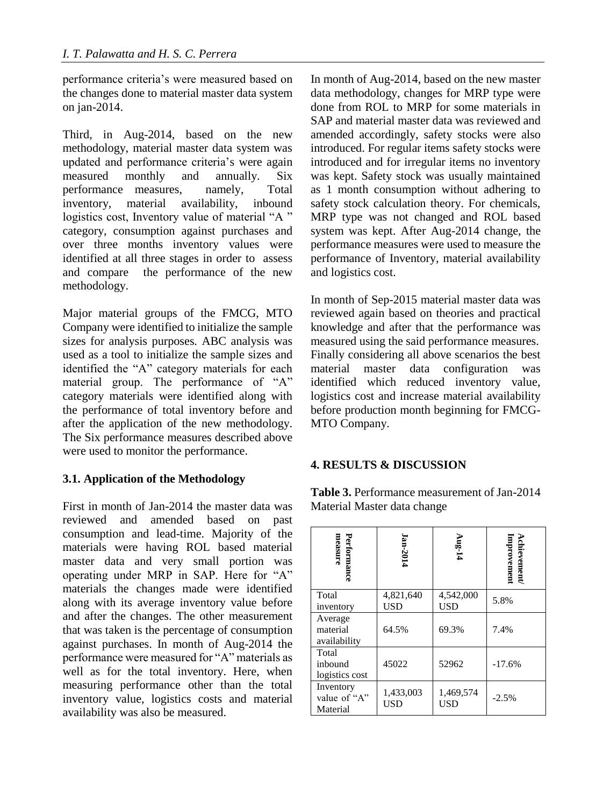performance criteria's were measured based on the changes done to material master data system on jan-2014.

Third, in Aug-2014, based on the new methodology, material master data system was updated and performance criteria's were again measured monthly and annually. Six performance measures, namely, Total inventory, material availability, inbound logistics cost, Inventory value of material "A" category, consumption against purchases and over three months inventory values were identified at all three stages in order to assess and compare the performance of the new methodology.

Major material groups of the FMCG, MTO Company were identified to initialize the sample sizes for analysis purposes. ABC analysis was used as a tool to initialize the sample sizes and identified the "A" category materials for each material group. The performance of "A" category materials were identified along with the performance of total inventory before and after the application of the new methodology. The Six performance measures described above were used to monitor the performance.

## **3.1. Application of the Methodology**

First in month of Jan-2014 the master data was reviewed and amended based on past consumption and lead-time. Majority of the materials were having ROL based material master data and very small portion was operating under MRP in SAP. Here for "A" materials the changes made were identified along with its average inventory value before and after the changes. The other measurement that was taken is the percentage of consumption against purchases. In month of Aug-2014 the performance were measured for "A" materials as well as for the total inventory. Here, when measuring performance other than the total inventory value, logistics costs and material availability was also be measured.

In month of Aug-2014, based on the new master data methodology, changes for MRP type were done from ROL to MRP for some materials in SAP and material master data was reviewed and amended accordingly, safety stocks were also introduced. For regular items safety stocks were introduced and for irregular items no inventory was kept. Safety stock was usually maintained as 1 month consumption without adhering to safety stock calculation theory. For chemicals, MRP type was not changed and ROL based system was kept. After Aug-2014 change, the performance measures were used to measure the performance of Inventory, material availability and logistics cost.

In month of Sep-2015 material master data was reviewed again based on theories and practical knowledge and after that the performance was measured using the said performance measures. Finally considering all above scenarios the best material master data configuration was identified which reduced inventory value, logistics cost and increase material availability before production month beginning for FMCG-MTO Company.

#### **4. RESULTS & DISCUSSION**

**Table 3.** Performance measurement of Jan-2014 Material Master data change

| measure<br>Performance                | Ian-2014         | Aug-14                  | Achievement/<br>Improvement |
|---------------------------------------|------------------|-------------------------|-----------------------------|
| Total<br>inventory                    | 4,821,640<br>USD | 4,542,000<br><b>USD</b> | 5.8%                        |
| Average<br>material<br>availability   | 64.5%            | 69.3%                   | 7.4%                        |
| Total<br>inbound<br>logistics cost    | 45022            | 52962                   | $-17.6%$                    |
| Inventory<br>value of "A"<br>Material | 1,433,003<br>USD | 1,469,574<br>USD        | $-2.5%$                     |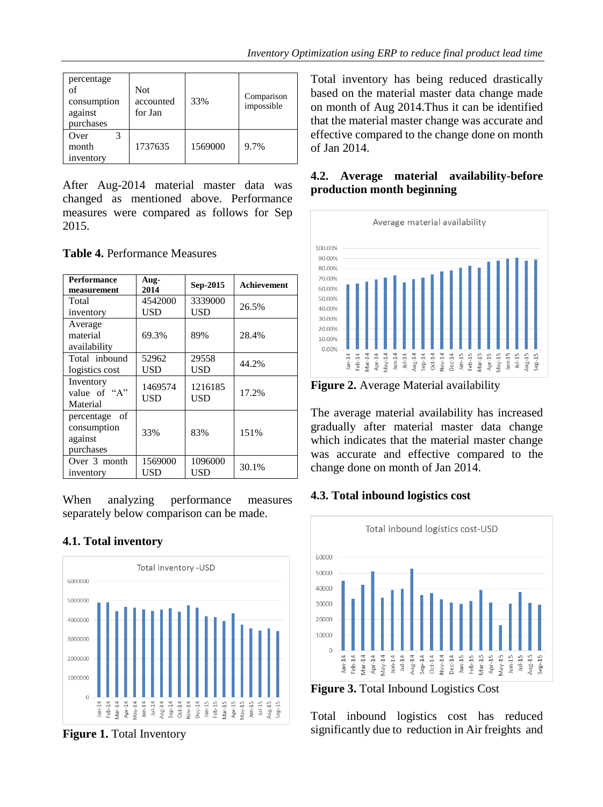| percentage<br>of<br>consumption<br>against<br>purchases | <b>Not</b><br>accounted<br>for Jan | 33%     | Comparison<br>impossible |
|---------------------------------------------------------|------------------------------------|---------|--------------------------|
| Over<br>month<br>inventory                              | 1737635                            | 1569000 | 9.7%                     |

After Aug-2014 material master data was changed as mentioned above. Performance measures were compared as follows for Sep 2015.

**Table 4.** Performance Measures

| <b>Performance</b><br>measurement                       | Aug-<br>2014   | Sep-2015       | Achievement |
|---------------------------------------------------------|----------------|----------------|-------------|
| Total                                                   | 4542000        | 3339000        | 26.5%       |
| inventory                                               | USD            | USD            |             |
| Average<br>material<br>availability                     | 69.3%          | 89%            | 28.4%       |
| Total inbound<br>logistics cost                         | 52962<br>USD   | 29558<br>USD   | 44.2%       |
| Inventory<br>value of "A"<br>Material                   | 1469574<br>USD | 1216185<br>USD | 17.2%       |
| percentage<br>of<br>consumption<br>against<br>purchases | 33%            | 83%            | 151%        |
| Over 3 month<br>inventory                               | 1569000<br>USD | 1096000<br>USD | 30.1%       |

When analyzing performance measures separately below comparison can be made.

# **4.1. Total inventory**



**Figure 1.** Total Inventory

Total inventory has being reduced drastically based on the material master data change made on month of Aug 2014.Thus it can be identified that the material master change was accurate and effective compared to the change done on month of Jan 2014.

#### **4.2. Average material availability-before production month beginning**



**Figure 2.** Average Material availability

The average material availability has increased gradually after material master data change which indicates that the material master change was accurate and effective compared to the change done on month of Jan 2014.

## **4.3. Total inbound logistics cost**



**Figure 3.** Total Inbound Logistics Cost

Total inbound logistics cost has reduced significantly due to reduction in Air freights and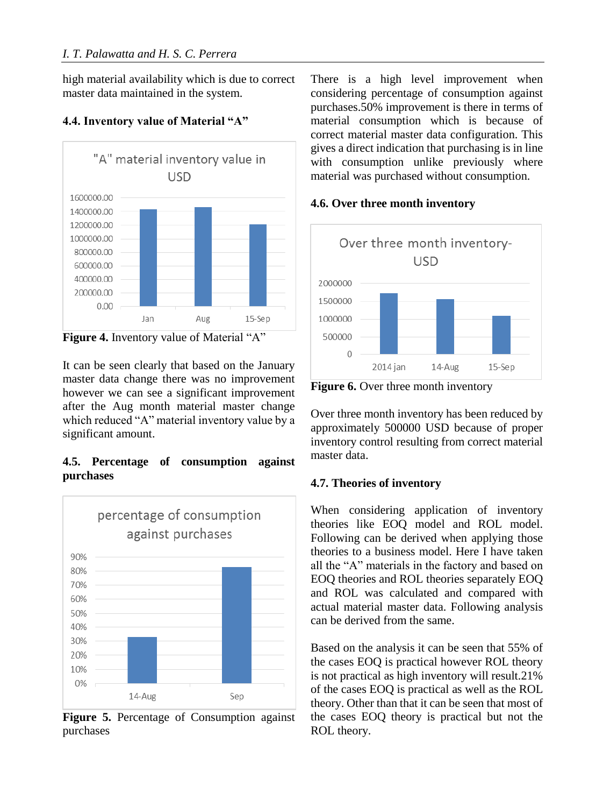high material availability which is due to correct master data maintained in the system.

#### "A" material inventory value in **USD** 1600000.00 1400000.00 1200000.00 1000000.00 800000.00 600000.00 400000.00 200000.00  $0.00$ Aug Jan  $15-$ Sep

## **4.4. Inventory value of Material "A"**

It can be seen clearly that based on the January master data change there was no improvement however we can see a significant improvement after the Aug month material master change which reduced "A" material inventory value by a significant amount.

## **4.5. Percentage of consumption against purchases**



**Figure 5.** Percentage of Consumption against purchases

There is a high level improvement when considering percentage of consumption against purchases.50% improvement is there in terms of material consumption which is because of correct material master data configuration. This gives a direct indication that purchasing is in line with consumption unlike previously where material was purchased without consumption.

## **4.6. Over three month inventory**



**Figure 6.** Over three month inventory

Over three month inventory has been reduced by approximately 500000 USD because of proper inventory control resulting from correct material master data.

# **4.7. Theories of inventory**

When considering application of inventory theories like EOQ model and ROL model. Following can be derived when applying those theories to a business model. Here I have taken all the "A" materials in the factory and based on EOQ theories and ROL theories separately EOQ and ROL was calculated and compared with actual material master data. Following analysis can be derived from the same.

Based on the analysis it can be seen that 55% of the cases EOQ is practical however ROL theory is not practical as high inventory will result.21% of the cases EOQ is practical as well as the ROL theory. Other than that it can be seen that most of the cases EOQ theory is practical but not the ROL theory.

Figure 4. Inventory value of Material "A"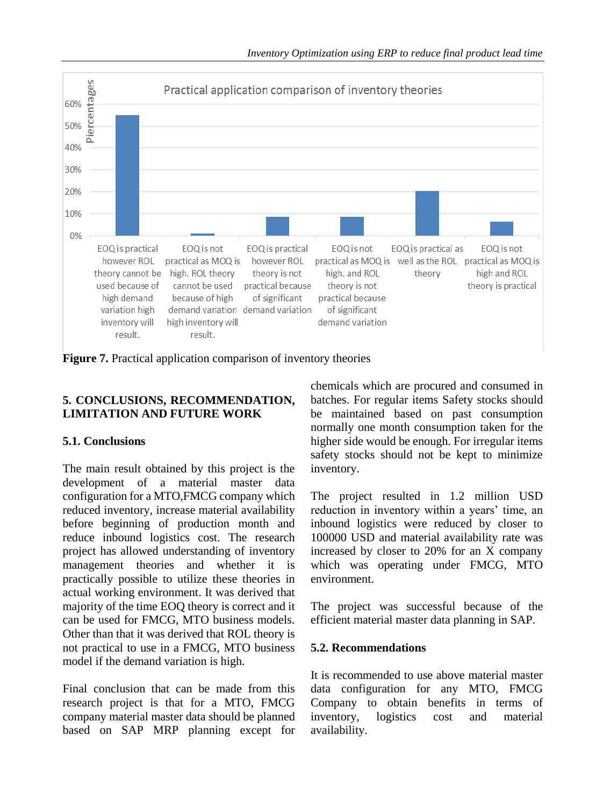

**Figure 7.** Practical application comparison of inventory theories

## **5. CONCLUSIONS, RECOMMENDATION, LIMITATION AND FUTURE WORK**

## **5.1. Conclusions**

The main result obtained by this project is the development of a material master data configuration for a MTO,FMCG company which reduced inventory, increase material availability before beginning of production month and reduce inbound logistics cost. The research project has allowed understanding of inventory management theories and whether it is practically possible to utilize these theories in actual working environment. It was derived that majority of the time EOQ theory is correct and it can be used for FMCG, MTO business models. Other than that it was derived that ROL theory is not practical to use in a FMCG, MTO business model if the demand variation is high.

Final conclusion that can be made from this research project is that for a MTO, FMCG company material master data should be planned based on SAP MRP planning except for chemicals which are procured and consumed in batches. For regular items Safety stocks should be maintained based on past consumption normally one month consumption taken for the higher side would be enough. For irregular items safety stocks should not be kept to minimize inventory.

The project resulted in 1.2 million USD reduction in inventory within a years' time, an inbound logistics were reduced by closer to 100000 USD and material availability rate was increased by closer to 20% for an X company which was operating under FMCG, MTO environment.

The project was successful because of the efficient material master data planning in SAP.

## **5.2. Recommendations**

It is recommended to use above material master data configuration for any MTO, FMCG Company to obtain benefits in terms of inventory, logistics cost and material availability.